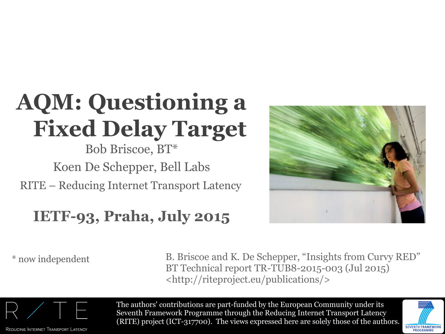## **AQM: Questioning a Fixed Delay Target**

#### RITE – Reducing Internet Transport Latency Bob Briscoe, BT\* Koen De Schepper, Bell Labs

#### **IETF-93, Praha, July 2015**



\* now independent B. Briscoe and K. De Schepper, "Insights from Curvy RED" BT Technical report TR-TUB8-2015-003 (Jul 2015) <http://riteproject.eu/publications/>



REDUCING INTERNET TRANSPORT LATENCY

The authors' contributions are part-funded by the European Community under its Seventh Framework Programme through the Reducing Internet Transport Latency (RITE) project (ICT-317700). The views expressed here are solely those of the authors.

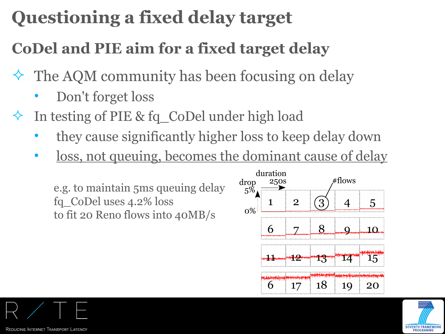### **Questioning a fixed delay target**

#### **CoDel and PIE aim for a fixed target delay**

- $\Diamond$  The AQM community has been focusing on delay
	- Don't forget loss
- In testing of PIE & fq\_CoDel under high load
	- they cause significantly higher loss to keep delay down
	- loss, not queuing, becomes the dominant cause of delay

e.g. to maintain 5ms queuing delay fq\_CoDel uses 4.2% loss to fit 20 Reno flows into 40MB/s



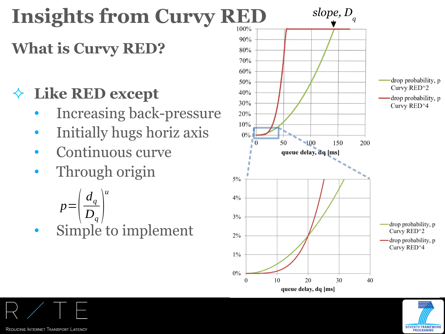## **Insights from Curvy RED**

#### **What is Curvy RED?**

#### **Like RED except**

- Increasing back-pressure
- Initially hugs horiz axis
- Continuous curve
- Through origin

$$
p = \left(\frac{d_q}{D_q}\right)^u
$$
  
• Simple to implement



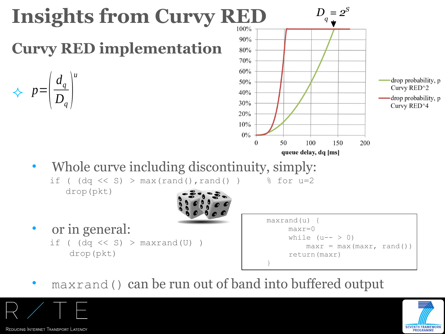

maxrand() can be run out of band into buffered output



REDUCING INTERNET TRANSPORT LATENCY

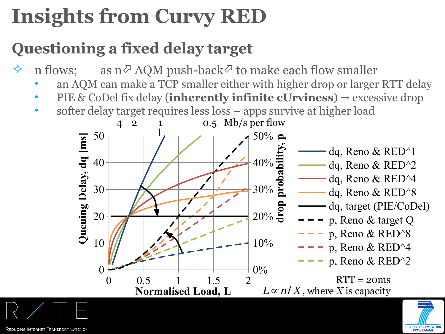## **Insights from Curvy RED**

#### **Questioning a fixed delay target**

n flows; as  $n^{\varnothing}$  AQM push-back  $\varnothing$  to make each flow smaller

- an AQM can make a TCP smaller either with higher drop or larger RTT delay
- PIE & CoDel fix delay (**inherently infinite cUrviness**)  $\rightarrow$  excessive drop
- softer delay target requires less loss apps survive at higher load

 $RTT = 20$ ms , where *X* is capacity *L*∝*n*/ *X*0 0.5 1 1.5 2 0 10 20 30 40 50 0% 10%  $20\%$  등 30% 40% 50% dq, Reno & RED^1 dq, Reno & RED^2 dq, Reno & RED^4 dq, Reno & RED^8 dq, target (PIE/CoDel) p, Reno & target Q p, Reno & RED^8 p, Reno & RED^4 p, Reno & RED^2 **Normalised Load, L Queuin gDela y, d q [m s] ropprobabilit y, p** 4 2 1 0.5 Mb/s per flow

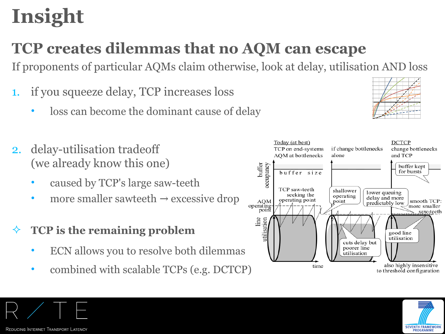## **Insight**

#### **TCP creates dilemmas that no AQM can escape**

If proponents of particular AQMs claim otherwise, look at delay, utilisation AND loss **Queuing Delay, dq [m s]**

- 1. if you squeeze delay, TCP increases loss
	- loss can become the dominant cause of delay
- 2. delay-utilisation tradeoff (we already know this one)
	- caused by TCP's large saw-teeth
	- more smaller sawteeth  $\rightarrow$  excessive drop
- **TCP is the remaining problem**
	- ECN allows you to resolve both dilemmas
	- combined with scalable TCPs (e.g. DCTCP)





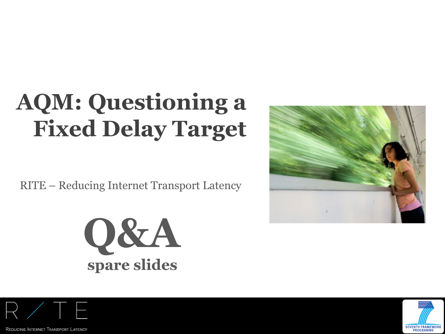## **AQM: Questioning a Fixed Delay Target**

RITE – Reducing Internet Transport Latency









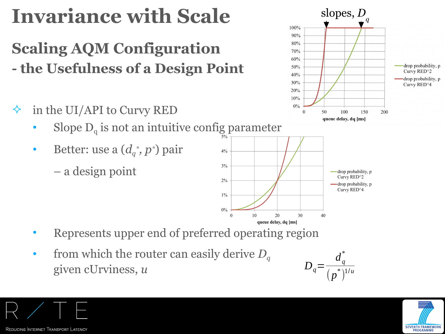## **Invariance with Scale**

#### **Scaling AQM Configuration - the Usefulness of a Design Point**

- $\Diamond$  in the UI/API to Curvy RED
	- Slope  $D_q$  is not an intuitive config parameter
	- Better: use a  $(d_q^*, p^*)$  pair
		- a design point



100%  $90%$ 80% 70%  $60%$ 

50%

 $40%$ 

30%

20%  $10%$  $0\%$ 

 $\Omega$ 

50

100

queue delay, dq [ms]

150

200

- Represents upper end of preferred operating region
- from which the router can easily derive *D<sup>q</sup>* given cUrviness, *u*



slopes, *D*

*q*





-drop probability, p

Curvy RED^2

drop probability, p

Curvy RED^4